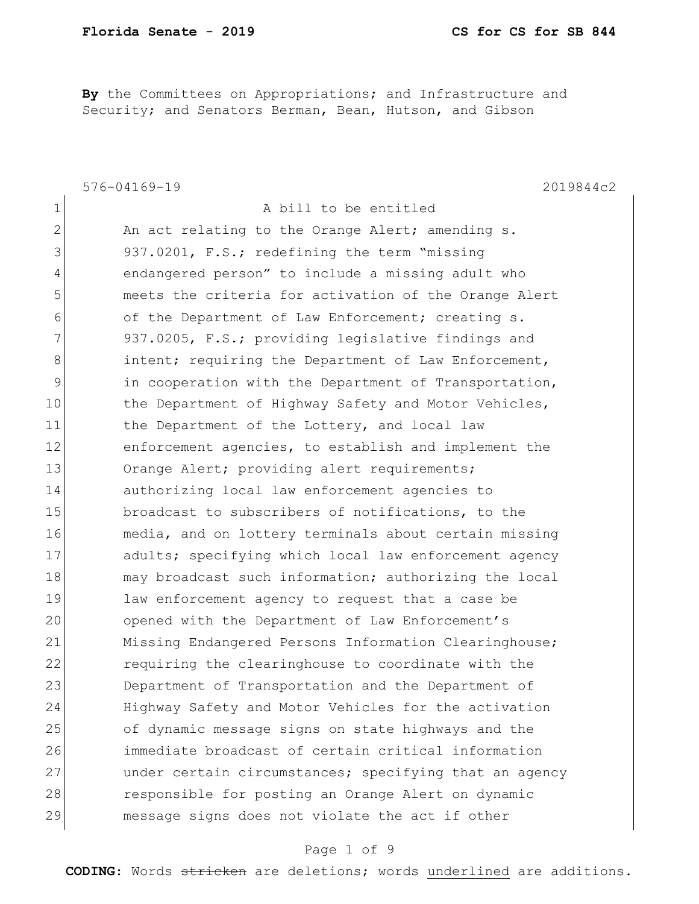**By** the Committees on Appropriations; and Infrastructure and Security; and Senators Berman, Bean, Hutson, and Gibson

| $\mathbf 1$<br>A bill to be entitled<br>2<br>An act relating to the Orange Alert; amending s.<br>3<br>937.0201, F.S.; redefining the term "missing<br>endangered person" to include a missing adult who<br>4<br>5<br>meets the criteria for activation of the Orange Alert<br>6<br>of the Department of Law Enforcement; creating s.<br>7<br>937.0205, F.S.; providing legislative findings and<br>8<br>intent; requiring the Department of Law Enforcement,<br>$\mathsf 9$<br>in cooperation with the Department of Transportation,<br>10<br>the Department of Highway Safety and Motor Vehicles,<br>11<br>the Department of the Lottery, and local law<br>12<br>enforcement agencies, to establish and implement the<br>13<br>Orange Alert; providing alert requirements;<br>14<br>authorizing local law enforcement agencies to<br>15<br>broadcast to subscribers of notifications, to the<br>16<br>media, and on lottery terminals about certain missing<br>17<br>adults; specifying which local law enforcement agency<br>18<br>may broadcast such information; authorizing the local<br>19<br>law enforcement agency to request that a case be<br>20<br>opened with the Department of Law Enforcement's<br>21<br>Missing Endangered Persons Information Clearinghouse;<br>22<br>requiring the clearinghouse to coordinate with the<br>23<br>Department of Transportation and the Department of<br>24<br>Highway Safety and Motor Vehicles for the activation<br>25<br>of dynamic message signs on state highways and the<br>immediate broadcast of certain critical information<br>26<br>27<br>under certain circumstances; specifying that an agency<br>28<br>responsible for posting an Orange Alert on dynamic<br>29<br>message signs does not violate the act if other | $576 - 04169 - 19$<br>2019844c2 |
|----------------------------------------------------------------------------------------------------------------------------------------------------------------------------------------------------------------------------------------------------------------------------------------------------------------------------------------------------------------------------------------------------------------------------------------------------------------------------------------------------------------------------------------------------------------------------------------------------------------------------------------------------------------------------------------------------------------------------------------------------------------------------------------------------------------------------------------------------------------------------------------------------------------------------------------------------------------------------------------------------------------------------------------------------------------------------------------------------------------------------------------------------------------------------------------------------------------------------------------------------------------------------------------------------------------------------------------------------------------------------------------------------------------------------------------------------------------------------------------------------------------------------------------------------------------------------------------------------------------------------------------------------------------------------------------------------------------------------------------------------------------------------------|---------------------------------|
|                                                                                                                                                                                                                                                                                                                                                                                                                                                                                                                                                                                                                                                                                                                                                                                                                                                                                                                                                                                                                                                                                                                                                                                                                                                                                                                                                                                                                                                                                                                                                                                                                                                                                                                                                                                  |                                 |
|                                                                                                                                                                                                                                                                                                                                                                                                                                                                                                                                                                                                                                                                                                                                                                                                                                                                                                                                                                                                                                                                                                                                                                                                                                                                                                                                                                                                                                                                                                                                                                                                                                                                                                                                                                                  |                                 |
|                                                                                                                                                                                                                                                                                                                                                                                                                                                                                                                                                                                                                                                                                                                                                                                                                                                                                                                                                                                                                                                                                                                                                                                                                                                                                                                                                                                                                                                                                                                                                                                                                                                                                                                                                                                  |                                 |
|                                                                                                                                                                                                                                                                                                                                                                                                                                                                                                                                                                                                                                                                                                                                                                                                                                                                                                                                                                                                                                                                                                                                                                                                                                                                                                                                                                                                                                                                                                                                                                                                                                                                                                                                                                                  |                                 |
|                                                                                                                                                                                                                                                                                                                                                                                                                                                                                                                                                                                                                                                                                                                                                                                                                                                                                                                                                                                                                                                                                                                                                                                                                                                                                                                                                                                                                                                                                                                                                                                                                                                                                                                                                                                  |                                 |
|                                                                                                                                                                                                                                                                                                                                                                                                                                                                                                                                                                                                                                                                                                                                                                                                                                                                                                                                                                                                                                                                                                                                                                                                                                                                                                                                                                                                                                                                                                                                                                                                                                                                                                                                                                                  |                                 |
|                                                                                                                                                                                                                                                                                                                                                                                                                                                                                                                                                                                                                                                                                                                                                                                                                                                                                                                                                                                                                                                                                                                                                                                                                                                                                                                                                                                                                                                                                                                                                                                                                                                                                                                                                                                  |                                 |
|                                                                                                                                                                                                                                                                                                                                                                                                                                                                                                                                                                                                                                                                                                                                                                                                                                                                                                                                                                                                                                                                                                                                                                                                                                                                                                                                                                                                                                                                                                                                                                                                                                                                                                                                                                                  |                                 |
|                                                                                                                                                                                                                                                                                                                                                                                                                                                                                                                                                                                                                                                                                                                                                                                                                                                                                                                                                                                                                                                                                                                                                                                                                                                                                                                                                                                                                                                                                                                                                                                                                                                                                                                                                                                  |                                 |
|                                                                                                                                                                                                                                                                                                                                                                                                                                                                                                                                                                                                                                                                                                                                                                                                                                                                                                                                                                                                                                                                                                                                                                                                                                                                                                                                                                                                                                                                                                                                                                                                                                                                                                                                                                                  |                                 |
|                                                                                                                                                                                                                                                                                                                                                                                                                                                                                                                                                                                                                                                                                                                                                                                                                                                                                                                                                                                                                                                                                                                                                                                                                                                                                                                                                                                                                                                                                                                                                                                                                                                                                                                                                                                  |                                 |
|                                                                                                                                                                                                                                                                                                                                                                                                                                                                                                                                                                                                                                                                                                                                                                                                                                                                                                                                                                                                                                                                                                                                                                                                                                                                                                                                                                                                                                                                                                                                                                                                                                                                                                                                                                                  |                                 |
|                                                                                                                                                                                                                                                                                                                                                                                                                                                                                                                                                                                                                                                                                                                                                                                                                                                                                                                                                                                                                                                                                                                                                                                                                                                                                                                                                                                                                                                                                                                                                                                                                                                                                                                                                                                  |                                 |
|                                                                                                                                                                                                                                                                                                                                                                                                                                                                                                                                                                                                                                                                                                                                                                                                                                                                                                                                                                                                                                                                                                                                                                                                                                                                                                                                                                                                                                                                                                                                                                                                                                                                                                                                                                                  |                                 |
|                                                                                                                                                                                                                                                                                                                                                                                                                                                                                                                                                                                                                                                                                                                                                                                                                                                                                                                                                                                                                                                                                                                                                                                                                                                                                                                                                                                                                                                                                                                                                                                                                                                                                                                                                                                  |                                 |
|                                                                                                                                                                                                                                                                                                                                                                                                                                                                                                                                                                                                                                                                                                                                                                                                                                                                                                                                                                                                                                                                                                                                                                                                                                                                                                                                                                                                                                                                                                                                                                                                                                                                                                                                                                                  |                                 |
|                                                                                                                                                                                                                                                                                                                                                                                                                                                                                                                                                                                                                                                                                                                                                                                                                                                                                                                                                                                                                                                                                                                                                                                                                                                                                                                                                                                                                                                                                                                                                                                                                                                                                                                                                                                  |                                 |
|                                                                                                                                                                                                                                                                                                                                                                                                                                                                                                                                                                                                                                                                                                                                                                                                                                                                                                                                                                                                                                                                                                                                                                                                                                                                                                                                                                                                                                                                                                                                                                                                                                                                                                                                                                                  |                                 |
|                                                                                                                                                                                                                                                                                                                                                                                                                                                                                                                                                                                                                                                                                                                                                                                                                                                                                                                                                                                                                                                                                                                                                                                                                                                                                                                                                                                                                                                                                                                                                                                                                                                                                                                                                                                  |                                 |
|                                                                                                                                                                                                                                                                                                                                                                                                                                                                                                                                                                                                                                                                                                                                                                                                                                                                                                                                                                                                                                                                                                                                                                                                                                                                                                                                                                                                                                                                                                                                                                                                                                                                                                                                                                                  |                                 |
|                                                                                                                                                                                                                                                                                                                                                                                                                                                                                                                                                                                                                                                                                                                                                                                                                                                                                                                                                                                                                                                                                                                                                                                                                                                                                                                                                                                                                                                                                                                                                                                                                                                                                                                                                                                  |                                 |
|                                                                                                                                                                                                                                                                                                                                                                                                                                                                                                                                                                                                                                                                                                                                                                                                                                                                                                                                                                                                                                                                                                                                                                                                                                                                                                                                                                                                                                                                                                                                                                                                                                                                                                                                                                                  |                                 |
|                                                                                                                                                                                                                                                                                                                                                                                                                                                                                                                                                                                                                                                                                                                                                                                                                                                                                                                                                                                                                                                                                                                                                                                                                                                                                                                                                                                                                                                                                                                                                                                                                                                                                                                                                                                  |                                 |
|                                                                                                                                                                                                                                                                                                                                                                                                                                                                                                                                                                                                                                                                                                                                                                                                                                                                                                                                                                                                                                                                                                                                                                                                                                                                                                                                                                                                                                                                                                                                                                                                                                                                                                                                                                                  |                                 |
|                                                                                                                                                                                                                                                                                                                                                                                                                                                                                                                                                                                                                                                                                                                                                                                                                                                                                                                                                                                                                                                                                                                                                                                                                                                                                                                                                                                                                                                                                                                                                                                                                                                                                                                                                                                  |                                 |
|                                                                                                                                                                                                                                                                                                                                                                                                                                                                                                                                                                                                                                                                                                                                                                                                                                                                                                                                                                                                                                                                                                                                                                                                                                                                                                                                                                                                                                                                                                                                                                                                                                                                                                                                                                                  |                                 |
|                                                                                                                                                                                                                                                                                                                                                                                                                                                                                                                                                                                                                                                                                                                                                                                                                                                                                                                                                                                                                                                                                                                                                                                                                                                                                                                                                                                                                                                                                                                                                                                                                                                                                                                                                                                  |                                 |
|                                                                                                                                                                                                                                                                                                                                                                                                                                                                                                                                                                                                                                                                                                                                                                                                                                                                                                                                                                                                                                                                                                                                                                                                                                                                                                                                                                                                                                                                                                                                                                                                                                                                                                                                                                                  |                                 |
|                                                                                                                                                                                                                                                                                                                                                                                                                                                                                                                                                                                                                                                                                                                                                                                                                                                                                                                                                                                                                                                                                                                                                                                                                                                                                                                                                                                                                                                                                                                                                                                                                                                                                                                                                                                  |                                 |

#### Page 1 of 9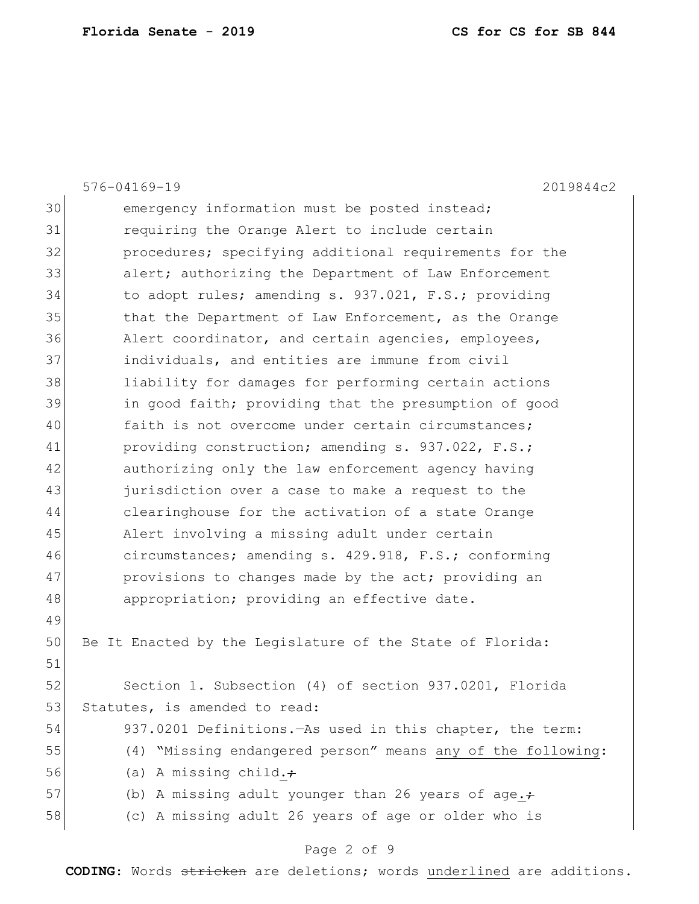|    | 576-04169-19<br>2019844c2                                   |
|----|-------------------------------------------------------------|
| 30 | emergency information must be posted instead;               |
| 31 | requiring the Orange Alert to include certain               |
| 32 | procedures; specifying additional requirements for the      |
| 33 | alert; authorizing the Department of Law Enforcement        |
| 34 | to adopt rules; amending s. 937.021, F.S.; providing        |
| 35 | that the Department of Law Enforcement, as the Orange       |
| 36 | Alert coordinator, and certain agencies, employees,         |
| 37 | individuals, and entities are immune from civil             |
| 38 | liability for damages for performing certain actions        |
| 39 | in good faith; providing that the presumption of good       |
| 40 | faith is not overcome under certain circumstances;          |
| 41 | providing construction; amending s. 937.022, F.S.;          |
| 42 | authorizing only the law enforcement agency having          |
| 43 | jurisdiction over a case to make a request to the           |
| 44 | clearinghouse for the activation of a state Orange          |
| 45 | Alert involving a missing adult under certain               |
| 46 | circumstances; amending s. 429.918, F.S.; conforming        |
| 47 | provisions to changes made by the act; providing an         |
| 48 | appropriation; providing an effective date.                 |
| 49 |                                                             |
| 50 | Be It Enacted by the Legislature of the State of Florida:   |
| 51 |                                                             |
| 52 | Section 1. Subsection (4) of section 937.0201, Florida      |
| 53 | Statutes, is amended to read:                               |
| 54 | 937.0201 Definitions. - As used in this chapter, the term:  |
| 55 | (4) "Missing endangered person" means any of the following: |
| 56 | (a) A missing child. $\div$                                 |
| 57 | (b) A missing adult younger than 26 years of age. $\div$    |
| 58 | (c) A missing adult 26 years of age or older who is         |
|    |                                                             |

# Page 2 of 9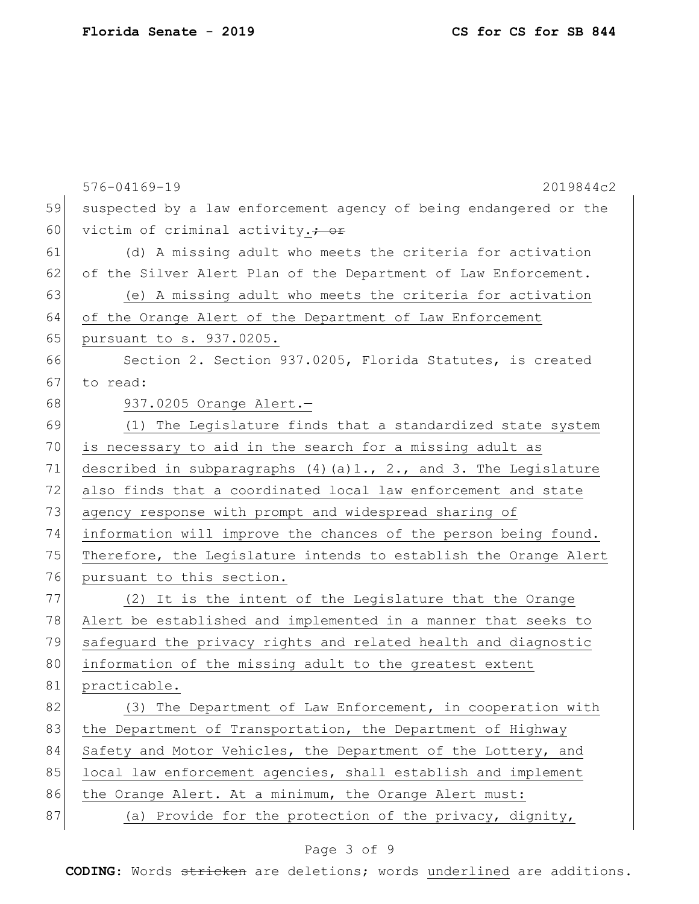|    | 576-04169-19<br>2019844c2                                                |
|----|--------------------------------------------------------------------------|
| 59 | suspected by a law enforcement agency of being endangered or the         |
| 60 | victim of criminal activity.+ or                                         |
| 61 | (d) A missing adult who meets the criteria for activation                |
| 62 | of the Silver Alert Plan of the Department of Law Enforcement.           |
| 63 | (e) A missing adult who meets the criteria for activation                |
| 64 | of the Orange Alert of the Department of Law Enforcement                 |
| 65 | pursuant to s. 937.0205.                                                 |
| 66 | Section 2. Section 937.0205, Florida Statutes, is created                |
| 67 | to read:                                                                 |
| 68 | 937.0205 Orange Alert.-                                                  |
| 69 | (1) The Legislature finds that a standardized state system               |
| 70 | is necessary to aid in the search for a missing adult as                 |
| 71 | described in subparagraphs $(4)$ $(a)$ 1., $2.$ , and 3. The Legislature |
| 72 | also finds that a coordinated local law enforcement and state            |
| 73 | agency response with prompt and widespread sharing of                    |
| 74 | information will improve the chances of the person being found.          |
| 75 | Therefore, the Legislature intends to establish the Orange Alert         |
| 76 | pursuant to this section.                                                |
| 77 | It is the intent of the Legislature that the Orange<br>(2)               |
| 78 | Alert be established and implemented in a manner that seeks to           |
| 79 | safeguard the privacy rights and related health and diagnostic           |
| 80 | information of the missing adult to the greatest extent                  |
| 81 | practicable.                                                             |
| 82 | (3) The Department of Law Enforcement, in cooperation with               |
| 83 | the Department of Transportation, the Department of Highway              |
| 84 | Safety and Motor Vehicles, the Department of the Lottery, and            |
| 85 | local law enforcement agencies, shall establish and implement            |
| 86 | the Orange Alert. At a minimum, the Orange Alert must:                   |
| 87 | (a) Provide for the protection of the privacy, dignity,                  |
|    |                                                                          |

# Page 3 of 9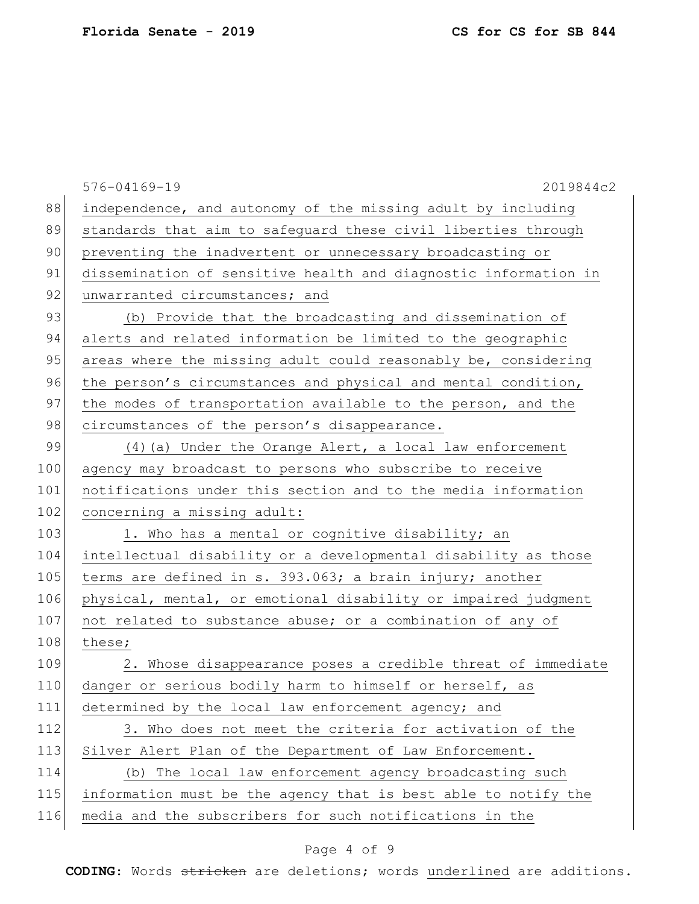|     | 576-04169-19<br>2019844c2                                       |
|-----|-----------------------------------------------------------------|
| 88  | independence, and autonomy of the missing adult by including    |
| 89  | standards that aim to safeguard these civil liberties through   |
| 90  | preventing the inadvertent or unnecessary broadcasting or       |
| 91  | dissemination of sensitive health and diagnostic information in |
| 92  | unwarranted circumstances; and                                  |
| 93  | (b) Provide that the broadcasting and dissemination of          |
| 94  | alerts and related information be limited to the geographic     |
| 95  | areas where the missing adult could reasonably be, considering  |
| 96  | the person's circumstances and physical and mental condition,   |
| 97  | the modes of transportation available to the person, and the    |
| 98  | circumstances of the person's disappearance.                    |
| 99  | $(4)$ (a) Under the Orange Alert, a local law enforcement       |
| 100 | agency may broadcast to persons who subscribe to receive        |
| 101 | notifications under this section and to the media information   |
| 102 | concerning a missing adult:                                     |
| 103 | 1. Who has a mental or cognitive disability; an                 |
| 104 | intellectual disability or a developmental disability as those  |
| 105 | terms are defined in s. 393.063; a brain injury; another        |
| 106 | physical, mental, or emotional disability or impaired judgment  |
| 107 | not related to substance abuse; or a combination of any of      |
| 108 | these;                                                          |
| 109 | 2. Whose disappearance poses a credible threat of immediate     |
| 110 | danger or serious bodily harm to himself or herself, as         |
| 111 | determined by the local law enforcement agency; and             |
| 112 | 3. Who does not meet the criteria for activation of the         |
| 113 | Silver Alert Plan of the Department of Law Enforcement.         |
| 114 | (b) The local law enforcement agency broadcasting such          |
| 115 | information must be the agency that is best able to notify the  |
| 116 | media and the subscribers for such notifications in the         |
|     |                                                                 |

# Page 4 of 9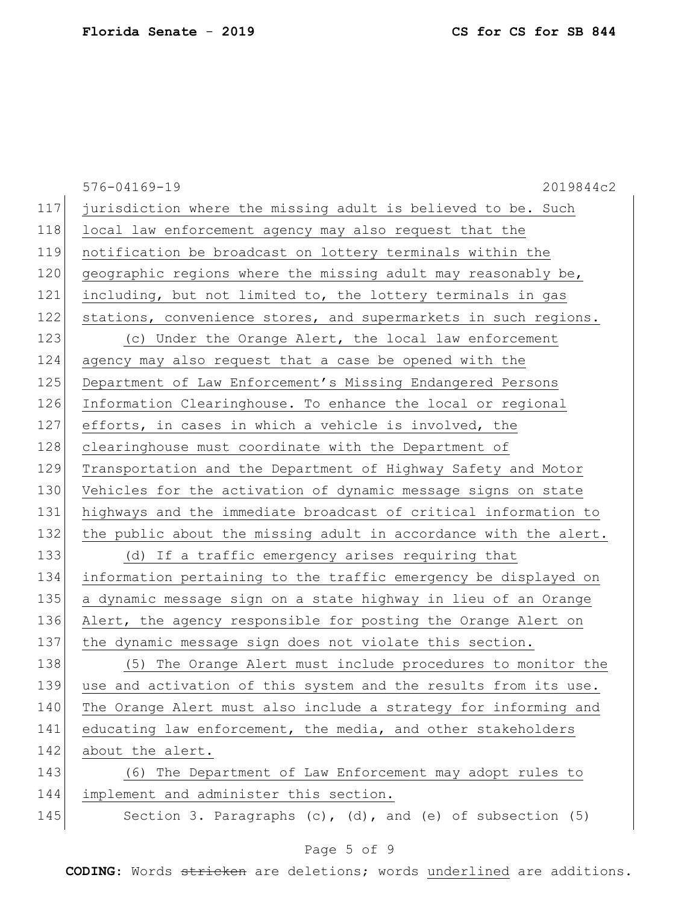|     | $576 - 04169 - 19$<br>2019844c2                                     |
|-----|---------------------------------------------------------------------|
| 117 | jurisdiction where the missing adult is believed to be. Such        |
| 118 | local law enforcement agency may also request that the              |
| 119 | notification be broadcast on lottery terminals within the           |
| 120 | geographic regions where the missing adult may reasonably be,       |
| 121 | including, but not limited to, the lottery terminals in gas         |
| 122 | stations, convenience stores, and supermarkets in such regions.     |
| 123 | (c) Under the Orange Alert, the local law enforcement               |
| 124 | agency may also request that a case be opened with the              |
| 125 | Department of Law Enforcement's Missing Endangered Persons          |
| 126 | Information Clearinghouse. To enhance the local or regional         |
| 127 | efforts, in cases in which a vehicle is involved, the               |
| 128 | clearinghouse must coordinate with the Department of                |
| 129 | Transportation and the Department of Highway Safety and Motor       |
| 130 | Vehicles for the activation of dynamic message signs on state       |
| 131 | highways and the immediate broadcast of critical information to     |
| 132 | the public about the missing adult in accordance with the alert.    |
| 133 | (d) If a traffic emergency arises requiring that                    |
| 134 | information pertaining to the traffic emergency be displayed on     |
| 135 | a dynamic message sign on a state highway in lieu of an Orange      |
| 136 | Alert, the agency responsible for posting the Orange Alert on       |
| 137 | the dynamic message sign does not violate this section.             |
| 138 | (5) The Orange Alert must include procedures to monitor the         |
| 139 | use and activation of this system and the results from its use.     |
| 140 | The Orange Alert must also include a strategy for informing and     |
| 141 | educating law enforcement, the media, and other stakeholders        |
| 142 | about the alert.                                                    |
| 143 | (6) The Department of Law Enforcement may adopt rules to            |
| 144 | implement and administer this section.                              |
| 145 | Section 3. Paragraphs $(c)$ , $(d)$ , and $(e)$ of subsection $(5)$ |

# Page 5 of 9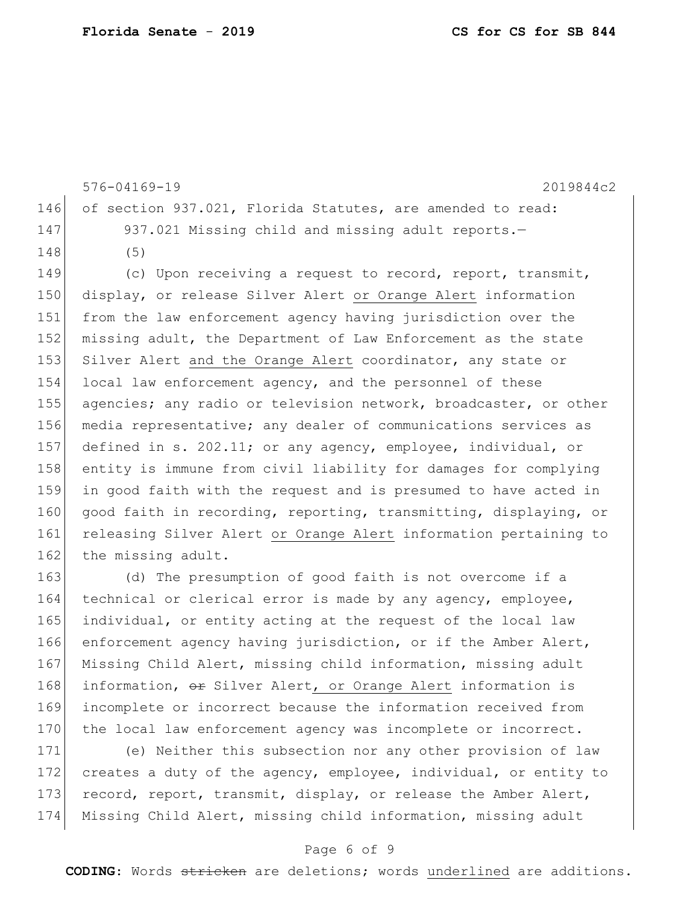|     | 576-04169-19                                                   | 2019844c2 |
|-----|----------------------------------------------------------------|-----------|
|     | 146 of section 937.021, Florida Statutes, are amended to read: |           |
| 147 | 937.021 Missing child and missing adult reports.-              |           |
| 148 | (5)                                                            |           |
|     |                                                                |           |

149 (c) Upon receiving a request to record, report, transmit, 150 display, or release Silver Alert or Orange Alert information 151 from the law enforcement agency having jurisdiction over the 152 missing adult, the Department of Law Enforcement as the state 153 Silver Alert and the Orange Alert coordinator, any state or 154 local law enforcement agency, and the personnel of these 155 agencies; any radio or television network, broadcaster, or other 156 media representative; any dealer of communications services as 157 defined in s. 202.11; or any agency, employee, individual, or 158 entity is immune from civil liability for damages for complying 159 in good faith with the request and is presumed to have acted in 160 good faith in recording, reporting, transmitting, displaying, or 161 releasing Silver Alert or Orange Alert information pertaining to 162 the missing adult.

163 (d) The presumption of good faith is not overcome if a 164 technical or clerical error is made by any agency, employee, 165 individual, or entity acting at the request of the local law 166 enforcement agency having jurisdiction, or if the Amber Alert, 167 Missing Child Alert, missing child information, missing adult 168 information, or Silver Alert, or Orange Alert information is 169 incomplete or incorrect because the information received from 170 the local law enforcement agency was incomplete or incorrect.

 (e) Neither this subsection nor any other provision of law creates a duty of the agency, employee, individual, or entity to 173 record, report, transmit, display, or release the Amber Alert, Missing Child Alert, missing child information, missing adult

#### Page 6 of 9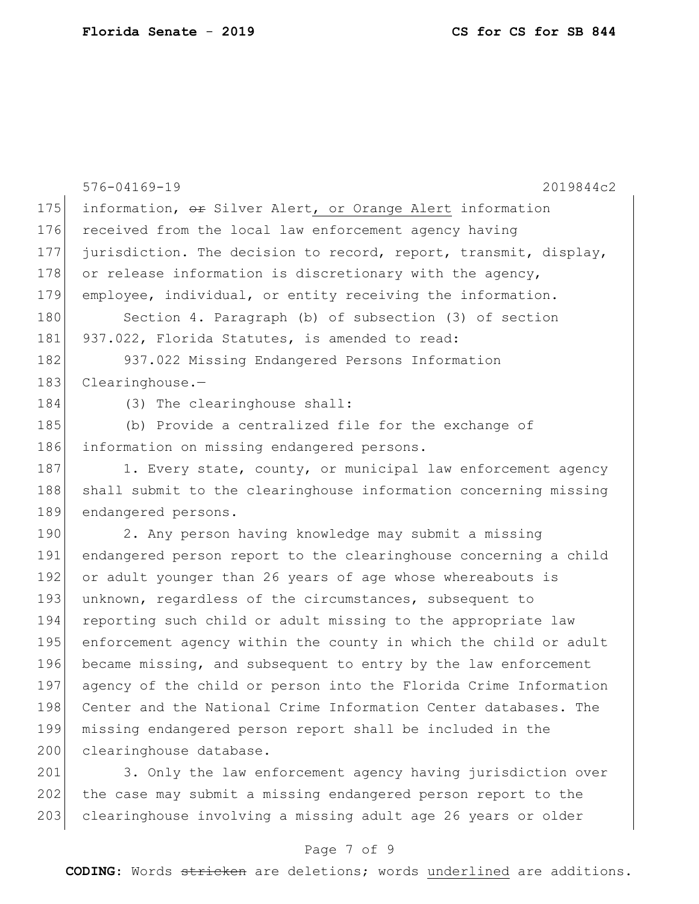|     | $576 - 04169 - 19$<br>2019844c2                                  |
|-----|------------------------------------------------------------------|
| 175 | information, or Silver Alert, or Orange Alert information        |
| 176 | received from the local law enforcement agency having            |
| 177 | jurisdiction. The decision to record, report, transmit, display, |
| 178 | or release information is discretionary with the agency,         |
| 179 | employee, individual, or entity receiving the information.       |
| 180 | Section 4. Paragraph (b) of subsection (3) of section            |
| 181 | 937.022, Florida Statutes, is amended to read:                   |
| 182 | 937.022 Missing Endangered Persons Information                   |
| 183 | Clearinghouse.                                                   |
| 184 | (3) The clearinghouse shall:                                     |
| 185 | (b) Provide a centralized file for the exchange of               |
| 186 | information on missing endangered persons.                       |
| 187 | 1. Every state, county, or municipal law enforcement agency      |
| 188 | shall submit to the clearinghouse information concerning missing |
| 189 | endangered persons.                                              |
| 190 | 2. Any person having knowledge may submit a missing              |
| 191 | endangered person report to the clearinghouse concerning a child |
| 192 | or adult younger than 26 years of age whose whereabouts is       |
| 193 | unknown, regardless of the circumstances, subsequent to          |
| 194 | reporting such child or adult missing to the appropriate law     |
| 195 | enforcement agency within the county in which the child or adult |
| 196 | became missing, and subsequent to entry by the law enforcement   |
| 197 | agency of the child or person into the Florida Crime Information |
| 198 | Center and the National Crime Information Center databases. The  |
| 199 | missing endangered person report shall be included in the        |
| 200 | clearinghouse database.                                          |
| 201 | 3. Only the law enforcement agency having jurisdiction over      |
| 202 | the case may submit a missing endangered person report to the    |

ay submit a missing endangered person report to the 203 clearinghouse involving a missing adult age 26 years or older

#### Page 7 of 9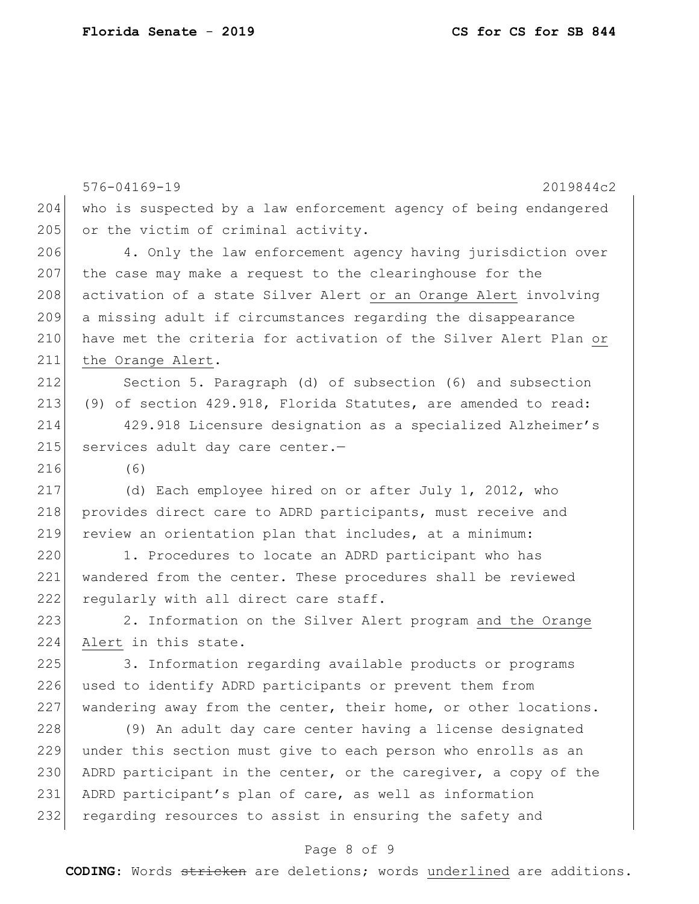|     | 576-04169-19<br>2019844c2                                        |
|-----|------------------------------------------------------------------|
| 204 | who is suspected by a law enforcement agency of being endangered |
| 205 | or the victim of criminal activity.                              |
| 206 | 4. Only the law enforcement agency having jurisdiction over      |
| 207 | the case may make a request to the clearinghouse for the         |
| 208 | activation of a state Silver Alert or an Orange Alert involving  |
| 209 | a missing adult if circumstances regarding the disappearance     |
| 210 | have met the criteria for activation of the Silver Alert Plan or |
| 211 | the Orange Alert.                                                |
| 212 | Section 5. Paragraph (d) of subsection (6) and subsection        |
| 213 | (9) of section 429.918, Florida Statutes, are amended to read:   |
| 214 | 429.918 Licensure designation as a specialized Alzheimer's       |
| 215 | services adult day care center.-                                 |
| 216 | (6)                                                              |
| 217 | (d) Each employee hired on or after July 1, 2012, who            |
| 218 | provides direct care to ADRD participants, must receive and      |
| 219 | review an orientation plan that includes, at a minimum:          |
| 220 | 1. Procedures to locate an ADRD participant who has              |
| 221 | wandered from the center. These procedures shall be reviewed     |
| 222 | reqularly with all direct care staff.                            |
| 223 | 2. Information on the Silver Alert program and the Orange        |
| 224 | Alert in this state.                                             |
| 225 | 3. Information regarding available products or programs          |
| 226 | used to identify ADRD participants or prevent them from          |
| 227 | wandering away from the center, their home, or other locations.  |
| 228 | (9) An adult day care center having a license designated         |
| 229 | under this section must give to each person who enrolls as an    |
| 230 | ADRD participant in the center, or the caregiver, a copy of the  |
| 231 | ADRD participant's plan of care, as well as information          |
| 232 | regarding resources to assist in ensuring the safety and         |

# Page 8 of 9